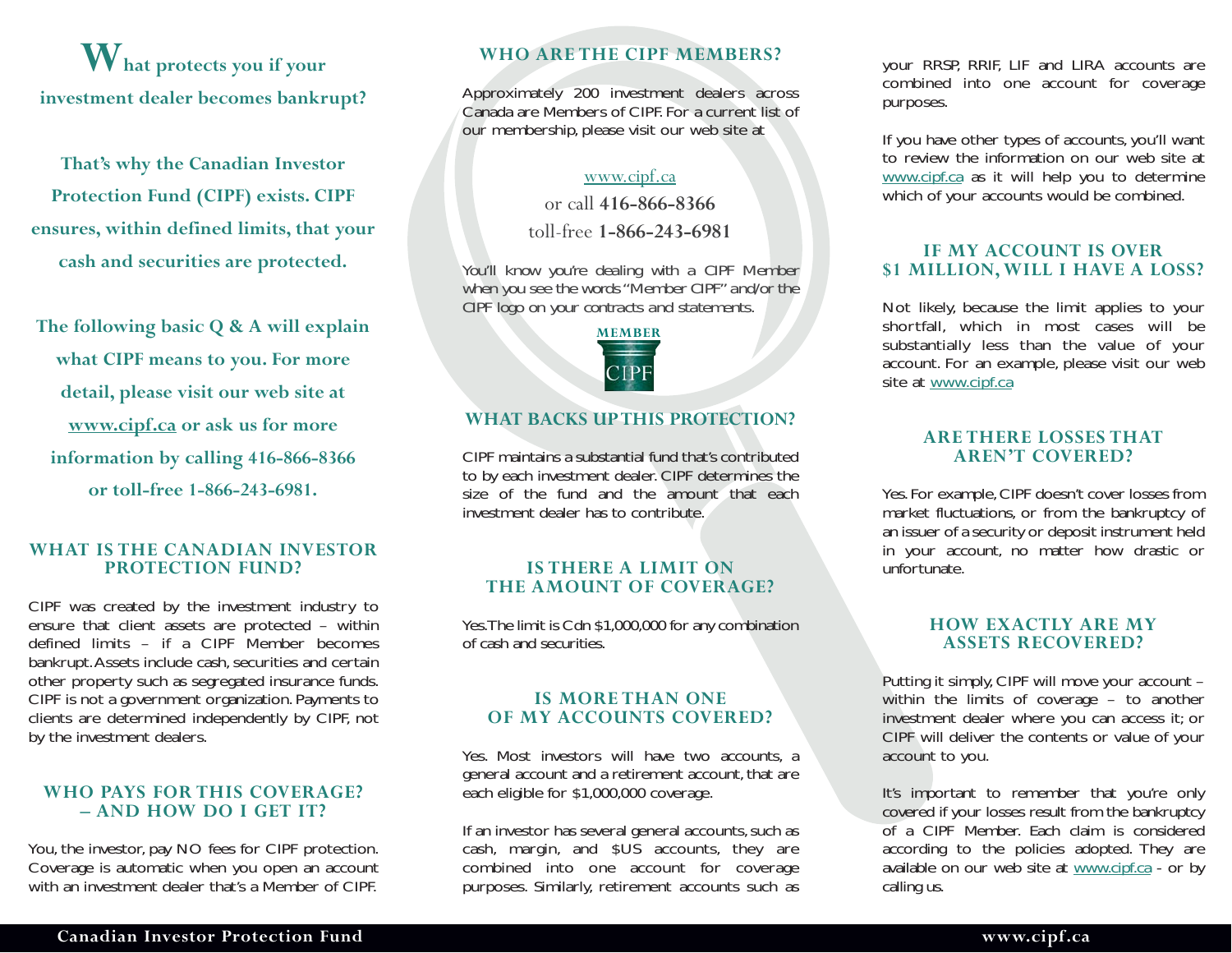**What protects you if your investment dealer becomes bankrupt?** 

**That's why the Canadian Investor Protection Fund (CIPF) exists. CIPF ensures, within defined limits, that your cash and securities are protected.** 

**The following basic Q & A will explain what CIPF means to you. For more detail, please visit our web site at [www.cipf.ca](http://www.cipf.ca) or ask us for more information by calling 416-866-8366 or toll-free 1-866-243-6981.** 

#### **WHAT IS THE CANADIAN INVESTOR PROTECTION FUND?**

CIPF was created by the investment industry to ensure that client assets are protected – within defined limits – if a CIPF Member becomes bankrupt.Assets include cash, securities and certain other property such as segregated insurance funds. CIPF is not a government organization. Payments to clients are determined independently by CIPF, not by the investment dealers.

#### **WHO PAYS FOR THIS COVERAGE? – AND HOW DO I GET IT?**

You, the investor, pay NO fees for CIPF protection. Coverage is automatic when you open an account with an investment dealer that's a Member of CIPF.

### **WHO ARE THE CIPF MEMBERS?**

Approximately 200 investment dealers across Canada are Members of CIPF. For a current list of our membership, please visit our web site at

#### [www.cipf.ca](http://www.cipf.ca)

or call **416-866-8366** 

toll-free **1-866-243-6981** 

*You'll know you're dealing with a CIPF Member when you see the words "Member CIPF" and/or the CIPF logo on your contracts and statements.* 



#### **WHAT BACKS UP THIS PROTECTION?**

CIPF maintains a substantial fund that's contributed to by each investment dealer. CIPF determines the size of the fund and the amount that each investment dealer has to contribute.

#### **IS THERE A LIMIT ON THE AMOUNT OF COVERAGE?**

Yes.The limit is Cdn \$1,000,000 for any combination of cash and securities.

#### **IS MORE THAN ONE OF MY ACCOUNTS COVERED?**

Yes. Most investors will have two accounts, a general account and a retirement account, that are each eligible for \$1,000,000 coverage.

If an investor has several general accounts, such as cash, margin, and \$US accounts, they are combined into one account for coverage purposes. Similarly, retirement accounts such as

your RRSP, RRIF, LIF and LIRA accounts are combined into one account for coverage purposes.

If you have other types of accounts, you'll want to review the information on our web site at [www.cipf.ca](http://www.cipf.ca) as it will help you to determine which of your accounts would be combined.

#### **IF MY ACCOUNT IS OVER \$1 MILLION, WILL I HAVE A LOSS?**

Not likely, because the limit applies to your shortfall, which in most cases will be substantially less than the value of your account. For an example, please visit our web site at [www.cipf.ca](http://www.cipf.ca) 

#### **ARE THERE LOSSES THAT AREN'T COVERED?**

Yes. For example, CIPF doesn't cover losses from market fluctuations, or from the bankruptcy of an issuer of a security or deposit instrument held in your account, no matter how drastic or unfortunate.

#### **HOW EXACTLY ARE MY ASSETS RECOVERED?**

Putting it simply, CIPF will move your account – within the limits of coverage – to another investment dealer where you can access it; or CIPF will deliver the contents or value of your account to you.

It's important to remember that you're only covered if your losses result from the bankruptcy of a CIPF Member. Each claim is considered according to the policies adopted. They are available on our web site at [www.cipf.ca](http://www.cipf.ca) - or by calling us.